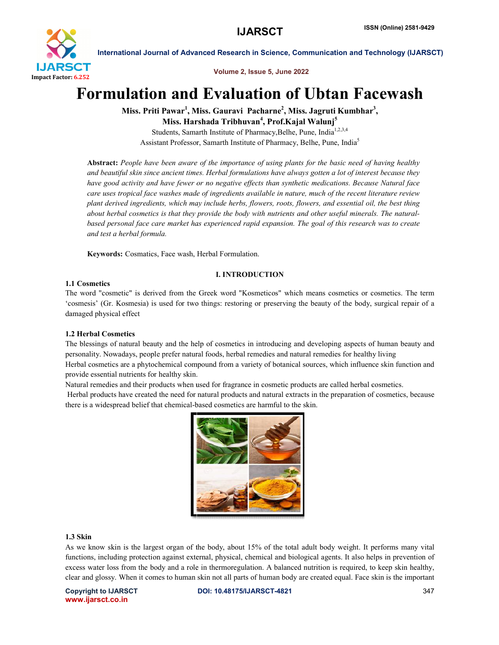

International Journal of Advanced Research in Science, Communication and Technology (IJARSCT)

Volume 2, Issue 5, June 2022

# Formulation and Evaluation of Ubtan Facewash

Miss. Priti Pawar<sup>1</sup>, Miss. Gauravi Pacharne<sup>2</sup>, Miss. Jagruti Kumbhar<sup>3</sup>, Miss. Harshada Tribhuvan<sup>4</sup>, Prof.Kajal Walunj<sup>5</sup>

Students, Samarth Institute of Pharmacy, Belhe, Pune, India<sup>1,2,3,4</sup> Assistant Professor, Samarth Institute of Pharmacy, Belhe, Pune, India<sup>5</sup>

Abstract: People have been aware of the importance of using plants for the basic need of having healthy *and beautiful skin since ancient times. Herbal formulations have always gotten a lot of interest because they formulations of they*  have good activity and have fewer or no negative effects than synthetic medications. Because Natural face *care uses tropical face washes made of ingredients available in nature, much of the recent literature review plant derived ingredients, which may include herbs, flowers, roots, flowers, and essential oil, the best thing review plant best have good activity and have fewer or no negative effects than synthetic medications. Because Natural face*<br>care uses tropical face washes made of ingredients available in nature, much of the recent literature review<br>plant about herbal cosmetics is that they provide the body with nutrients and other useful minerals. The natural-<br>based personal face care market has experienced rapid expansion. The goal of this research was to create *and test a herbal formula.*

Keywords: Cosmatics, Face wash, Herbal Formulation.

### I. INTRODUCTION

# 1.1 Cosmetics

The word "cosmetic" is derived from the Greek word "Kosmeticos" which means cosmetics or cosmetics. The term 'cosmesis' (Gr. Kosmesia) is used for two things: restoring or preserving the beauty of the body, surgical repair of a damaged physical effect

# 1.2 Herbal Cosmetics

The blessings of natural beauty and the help of cosmetics in introducing and developing aspects of human beauty and personality. Nowadays, people prefer natural foods, herbal remedies and natural remedies for healthy living The blessings of natural beauty and the help of cosmetics in introducing and developing aspects of human beauty and<br>personality. Nowadays, people prefer natural foods, herbal remedies and natural remedies for healthy livin provide essential nutrients for healthy skin. word "cosmetic" is derived from the Greek word "Kosmeticos" which means cosmetics or cosmetitinesis' (Gr. Kosmesia) is used for two things: restoring or preserving the beauty of the body, surgical aged physical effect<br>**Eer** 

Natural remedies and their products when used for fragrance in cosmetic products are called herbal cosmetics.

Herbal products have created the need for natural products and natural extracts in the preparation of cosmetics, because there is a widespread belief that chemical-based cosmetics are harmful to the skin.



#### 1.3 Skin

As we know skin is the largest organ of the body, about 15% of the total adult body weight. It performs many vital functions, including protection against external, physical, chemical and biological agents. It also helps in prevention of excess water loss from the body and a role in thermoregulation. A balanced nutrition is required, t excess water loss from the body and a role in thermoregulation. A balanced nutrition is required, to keep skin healthy, excess water loss from the body and a role in thermoregulation. A balanced nutrition is required, to keep skin healthy, clear and glossy. When it comes to human skin not all parts of human body are created equal. Face skin

Copyright to IJARSCT www.ijarsct.co.in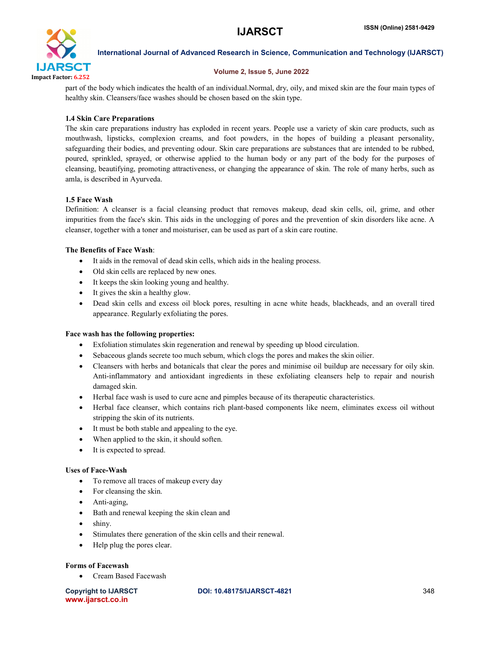

International Journal of Advanced Research in Science, Communication and Technology (IJARSCT)

### Volume 2, Issue 5, June 2022

part of the body which indicates the health of an individual.Normal, dry, oily, and mixed skin are the four main types of healthy skin. Cleansers/face washes should be chosen based on the skin type.

# 1.4 Skin Care Preparations

The skin care preparations industry has exploded in recent years. People use a variety of skin care products, such as mouthwash, lipsticks, complexion creams, and foot powders, in the hopes of building a pleasant personality, safeguarding their bodies, and preventing odour. Skin care preparations are substances that are intended to be rubbed, poured, sprinkled, sprayed, or otherwise applied to the human body or any part of the body for the purposes of cleansing, beautifying, promoting attractiveness, or changing the appearance of skin. The role of many herbs, such as amla, is described in Ayurveda.

# 1.5 Face Wash

Definition: A cleanser is a facial cleansing product that removes makeup, dead skin cells, oil, grime, and other impurities from the face's skin. This aids in the unclogging of pores and the prevention of skin disorders like acne. A cleanser, together with a toner and moisturiser, can be used as part of a skin care routine.

### The Benefits of Face Wash:

- It aids in the removal of dead skin cells, which aids in the healing process.
- Old skin cells are replaced by new ones.
- It keeps the skin looking young and healthy.
- It gives the skin a healthy glow.
- Dead skin cells and excess oil block pores, resulting in acne white heads, blackheads, and an overall tired appearance. Regularly exfoliating the pores.

# Face wash has the following properties:

- Exfoliation stimulates skin regeneration and renewal by speeding up blood circulation.
- Sebaceous glands secrete too much sebum, which clogs the pores and makes the skin oilier.
- Cleansers with herbs and botanicals that clear the pores and minimise oil buildup are necessary for oily skin. Anti-inflammatory and antioxidant ingredients in these exfoliating cleansers help to repair and nourish damaged skin.
- Herbal face wash is used to cure acne and pimples because of its therapeutic characteristics.
- Herbal face cleanser, which contains rich plant-based components like neem, eliminates excess oil without stripping the skin of its nutrients.
- It must be both stable and appealing to the eye.
- When applied to the skin, it should soften.
- It is expected to spread.

#### Uses of Face-Wash

- To remove all traces of makeup every day
- For cleansing the skin.
- Anti-aging,
- Bath and renewal keeping the skin clean and
- shiny.
- Stimulates there generation of the skin cells and their renewal.
- Help plug the pores clear.

#### Forms of Facewash

Cream Based Facewash

www.ijarsct.co.in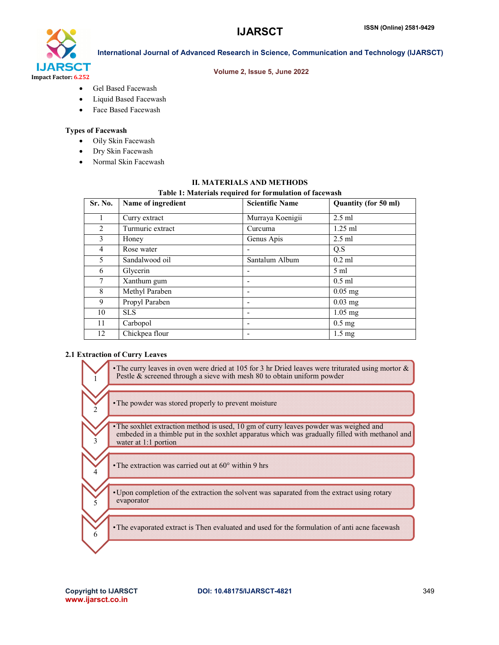# **IJARSCT**



International Journal of Advanced Research in Science, Communication and Technology (IJARSCT)

#### Volume 2, Issue 5, June 2022

- Gel Based Facewash
- Liquid Based Facewash
- Face Based Facewash

# Types of Facewash

- Oily Skin Facewash
- Dry Skin Facewash
- Normal Skin Facewash

### II. MATERIALS AND METHODS

#### Table 1: Materials required for formulation of facewash

| Sr. No. | Name of ingredient | <b>Scientific Name</b> | Quantity (for 50 ml) |
|---------|--------------------|------------------------|----------------------|
| 1       | Curry extract      | Murraya Koenigii       | $2.5$ ml             |
| 2       | Turmuric extract   | Curcuma                | $1.25$ ml            |
| 3       | Honey              | Genus Apis             | $2.5$ ml             |
| 4       | Rose water         |                        | Q.S                  |
| 5       | Sandalwood oil     | Santalum Album         | $0.2$ ml             |
| 6       | Glycerin           |                        | $5 \text{ ml}$       |
| 7       | Xanthum gum        |                        | $0.5$ ml             |
| 8       | Methyl Paraben     |                        | $0.05$ mg            |
| 9       | Propyl Paraben     |                        | $0.03$ mg            |
| 10      | <b>SLS</b>         |                        | $1.05$ mg            |
| 11      | Carbopol           |                        | $0.5$ mg             |
| 12      | Chickpea flour     |                        | $1.5 \text{ mg}$     |

#### 2.1 Extraction of Curry Leaves

1

3

5

•The curry leaves in oven were dried at 105 for 3 hr Dried leaves were triturated using mortor & Pestle & screened through a sieve with mesh 80 to obtain uniform powder

 $\cdot$ The powder was stored properly to prevent moisture

•The soxhlet extraction method is used, 10 gm of curry leaves powder was weighed and embeded in a thimble put in the soxhlet apparatus which was gradually filled with methanol and water at 1:1 portion The curry leaves in oven were dried at 105 for 3 hr Dried leaves were triturated using mortor<br>Pestle & screened through a sieve with mesh 80 to obtain uniform powder<br>The powder was stored properly to prevent moisture<br>The re dried at 105 for 3 hr Dried leaves<br>sieve with mesh 80 to obtain uniform<br>erly to prevent moisture<br>and is used, 10 gm of curry leaves pos<br>the soxhlet apparatus which was gra

• The extraction was carried out at  $60^\circ$  within 9 hrs

•Upon completion of the extraction the solvent was saparated from the extract using rotary evaporator Upon completion of the extraction the solvent was saparated from the extract using rotary evaporator<br>
The evaporated extract is Then evaluated and used for the formulation of anti acne facewas

•The evaporated extract is Then evaluated and used for the formulation of anti acne facewash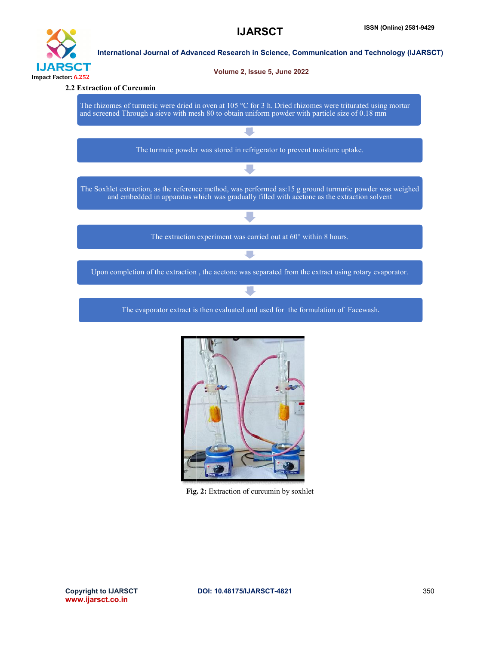

The evaporator extract is then evaluated and used for the formulation of Facewash .



Fig. 2: Extraction of curcumin by soxhlet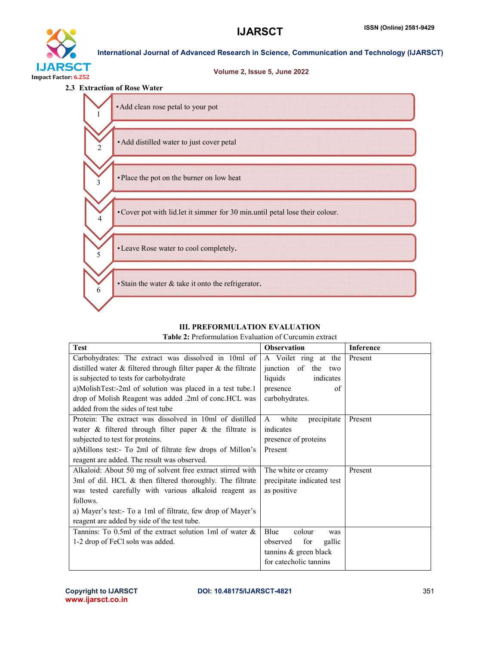

# **IJARSCT**

Volume 2, Issue 5, June 2022

International Journal of Advanced Research in Science, Communication and Technology (IJARSCT)



| <b>Table 2:</b> Preformulation Evaluation of Curcumin extract |  |  |
|---------------------------------------------------------------|--|--|
|---------------------------------------------------------------|--|--|

| <b>III. PREFORMULATION EVALUATION</b>                                |                               |                  |  |  |
|----------------------------------------------------------------------|-------------------------------|------------------|--|--|
| <b>Table 2:</b> Preformulation Evaluation of Curcumin extract        |                               |                  |  |  |
| <b>Test</b>                                                          | <b>Observation</b>            | <b>Inference</b> |  |  |
| Carbohydrates: The extract was dissolved in 10ml of                  | A Voilet ring at the          | Present          |  |  |
| distilled water $\&$ filtered through filter paper $\&$ the filtrate | junction of the two           |                  |  |  |
| is subjected to tests for carbohydrate                               | indicates<br>liquids          |                  |  |  |
| a)MolishTest:-2ml of solution was placed in a test tube.1            | presence<br>of                |                  |  |  |
| drop of Molish Reagent was added .2ml of conc.HCL was                | carbohydrates.                |                  |  |  |
| added from the sides of test tube                                    |                               |                  |  |  |
| Protein: The extract was dissolved in 10ml of distilled              | white<br>precipitate<br>A     | Present          |  |  |
| water $\&$ filtered through filter paper $\&$ the filtrate is        | indicates                     |                  |  |  |
| subjected to test for proteins.                                      | presence of proteins          |                  |  |  |
| a) Millons test:- To 2ml of filtrate few drops of Millon's           | Present                       |                  |  |  |
| reagent are added. The result was observed.                          |                               |                  |  |  |
| Alkaloid: About 50 mg of solvent free extract stirred with           | The white or creamy           | Present          |  |  |
| 3ml of dil. HCL & then filtered thoroughly. The filtrate             | precipitate indicated test    |                  |  |  |
| was tested carefully with various alkaloid reagent as                | as positive                   |                  |  |  |
| follows.                                                             |                               |                  |  |  |
| a) Mayer's test:- To a 1ml of filtrate, few drop of Mayer's          |                               |                  |  |  |
| reagent are added by side of the test tube.                          |                               |                  |  |  |
| Tannins: To 0.5ml of the extract solution 1ml of water $\&$          | <b>B</b> lue<br>colour<br>was |                  |  |  |
| 1-2 drop of FeCl soln was added.                                     | gallic<br>for<br>observed     |                  |  |  |
|                                                                      | tannins & green black         |                  |  |  |
|                                                                      | for catecholic tannins        |                  |  |  |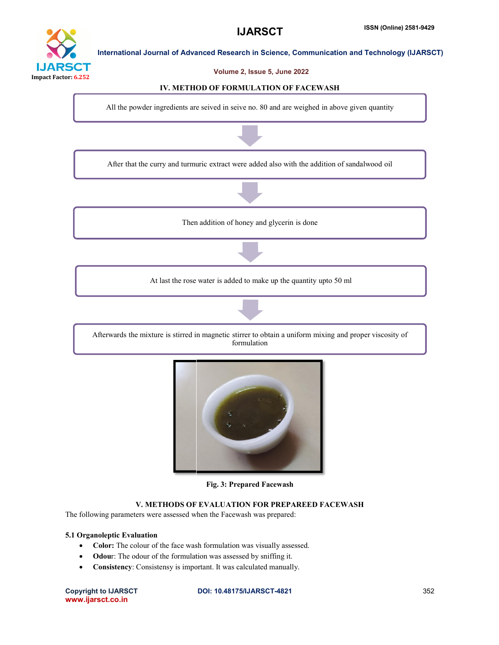# **IJARS** CT Impact Factor: 6.252

International Journal of Advanced Research in Science, Communication and Technology (IJARSCT)

#### Volume 2, Issue 5, June 2022

**IJARSCT** 

#### IV. METHOD OF FORMULATION OF FACEWASH

All the powder ingredients are seived in seive no. 80 and are weighed in above given quantity







# V. METHODS OF EVALUATION FOR PREPAREED FACEWASH

#### 5.1 Organoleptic Evaluation

- The following parameters were assessed when the Facewash was prepared:<br>
5.1 Organoleptic Evaluation<br>
 Color: The colour of the face wash formulation was visually asses • Color: The colour of the face wash formulation was visually assessed.
	- Odour: The odour of the formulation was assessed by sniffing it.
	- Consistency: Consistensy is important. It was calculated manually.

Copyright to IJARSCT www.ijarsct.co.in

#### DOI: 10.48175/IJARSCT-4821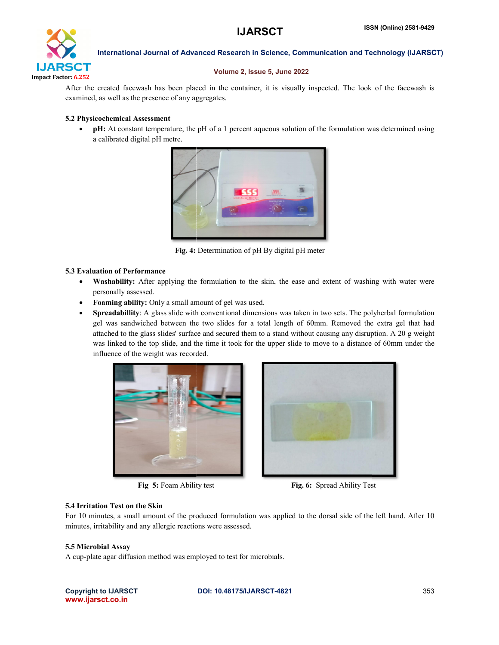

International Journal of Advanced Research in Science, Communication and Technology (IJARSCT)

#### Volume 2, Issue 5, June 2022

After the created facewash has been placed in the container, it is visually inspected. The look of the facewash is examined, as well as the presence of any aggregates. Physicochemical Assessment<br> **Physicochemical Assessment**<br> **Physicochemical Assessment**<br> **Phi:** At constant temperature, the pH of a 1 percent aqueous solution of the formulation was determined using using

#### 5.2 Physicochemical Assessment

a calibrated digital pH metre.



Fig. 4: Determination of pH By digital pH meter

#### 5.3 Evaluation of Performance

- Washability: After applying the formulation to the skin, the ease and extent of washing with water were personally assessed.
- Foaming ability: Only a small amount of gel was used.
- Spreadabillity: A glass slide with conventional dimensions was taken in two sets. The polyherbal formulation gel was sandwiched between the two slides for a total length of 60mm. Removed the extra gel that had gel attached to the glass slides' surface and secured them to a stand without causing any disruption. A 20 g weight was linked to the top slide, and the time it took for the upper slide to move to a distance of 60mm under the influence of the weight was recorded.



Fig 5: Foam Ability test



### 5.4 Irritation Test on the Skin

For 10 minutes, a small amount of the produced formulation was applied to the dorsal side of the left hand. After 10 For minutes, irritability and any allergic reactions were assessed.

#### 5.5 Microbial Assay

A cup-plate agar diffusion method was employed to test for microbials.

Copyright to IJARSCT www.ijarsct.co.in

#### DOI: 10.48175/IJARSCT-4821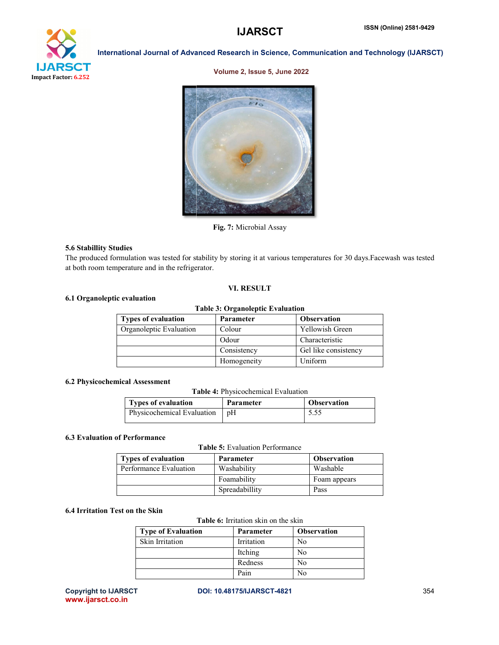# **IJARSCT**



International Journal of Advanced Research in Science, Communication and Technology (IJARSCT)

#### Volume 2, Issue 5, June 2022



Fig. 7: Microbial Assay

#### 5.6 Stabillity Studies

The produced formulation was tested for stability by storing it at various temperatures for 30 days. Facewash was tested at both room temperature and in the refrigerator.

#### VI. RESULT

#### 6.1 Organoleptic evaluation

#### Table 3: Organoleptic Evaluation Types of evaluation Parameter Observation

| Organoleptic Evaluation | Colour      | <b>Yellowish Green</b> |
|-------------------------|-------------|------------------------|
|                         | Odour       | Characteristic         |
|                         | Consistency | Gel like consistency   |
|                         | Homogeneity | Uniform                |

#### 6.2 Physicochemical Assessment

Table 4: Physicochemical Evaluation

| Types of evaluation        | <b>Parameter</b> | <b>Observation</b> |
|----------------------------|------------------|--------------------|
| Physicochemical Evaluation | ∣ pH             | 5.55               |

#### 6.3 Evaluation of Performance

Table 5: Evaluation Performance

| <b>Types of evaluation</b> | <b>Parameter</b> | <b>Observation</b> |
|----------------------------|------------------|--------------------|
| Performance Evaluation     | Washability      | Washable           |
|                            | Foamability      | Foam appears       |
|                            | Spreadabillity   | Pass               |

# 6.4 Irritation Test on the Skin

#### Table 6: Irritation skin on the skin

| <b>Type of Evaluation</b> | Parameter  | <b>Observation</b> |
|---------------------------|------------|--------------------|
| <b>Skin Irritation</b>    | Irritation | No                 |
|                           | Itching    | No                 |
|                           | Redness    | No                 |
|                           | Pain       | No                 |